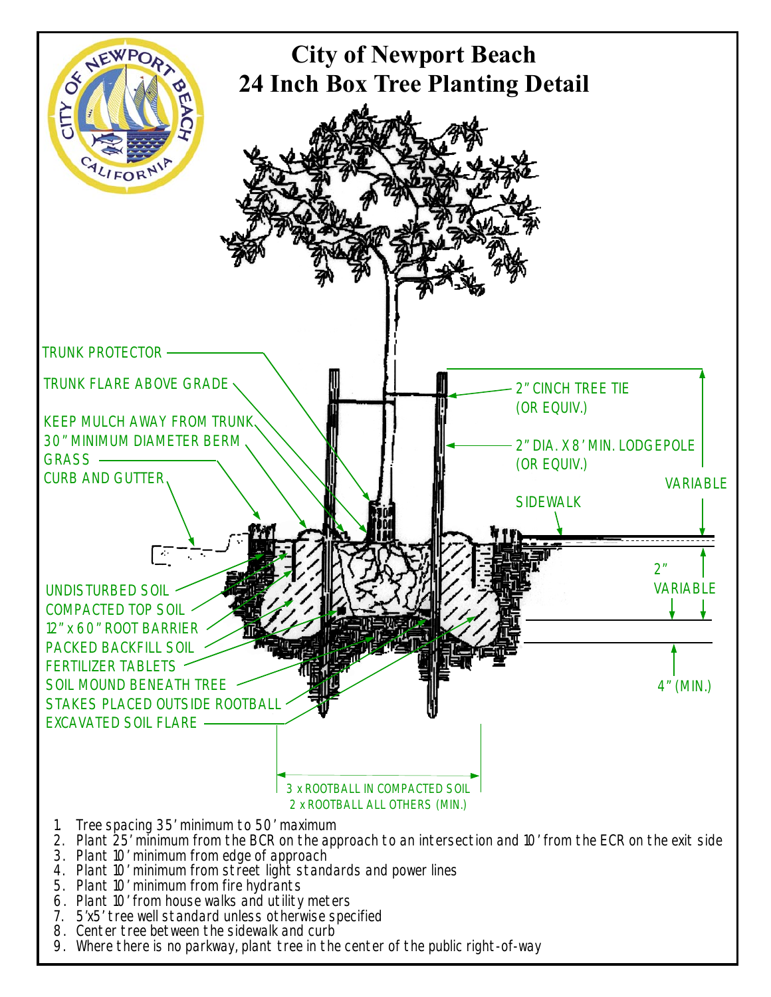

- 3. Plant 10' minimum from edge of approach
- 4. Plant 10' minimum from street light standards and power lines
- 5. Plant 10' minimum from fire hydrants
- 6. Plant 10' from house walks and utility meters
- 7. 5'x5' tree well standard unless otherwise specified
- 8. Center tree between the sidewalk and curb
- 9. Where there is no parkway, plant tree in the center of the public right-of-way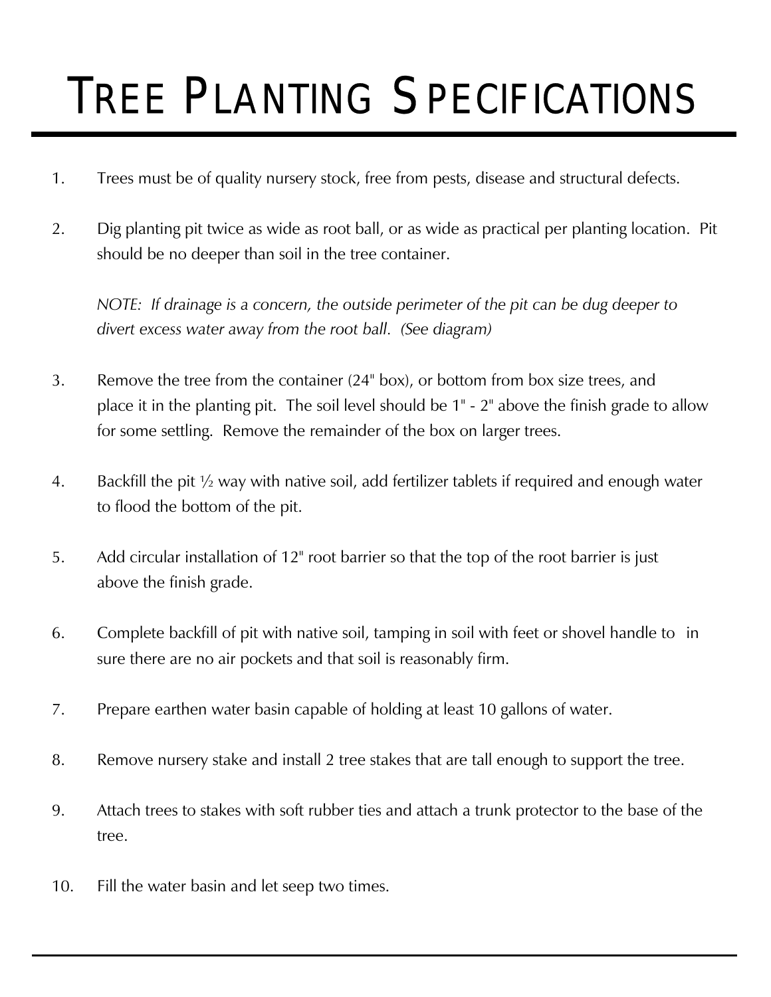## TREE PLANTING SPECIFICATIONS

- 1. Trees must be of quality nursery stock, free from pests, disease and structural defects.
- 2. Dig planting pit twice as wide as root ball, or as wide as practical per planting location. Pit should be no deeper than soil in the tree container.

 *NOTE: If drainage is a concern, the outside perimeter of the pit can be dug deeper to divert excess water away from the root ball. (See diagram)*

- 3. Remove the tree from the container (24" box), or bottom from box size trees, and place it in the planting pit. The soil level should be 1" - 2" above the finish grade to allow for some settling. Remove the remainder of the box on larger trees.
- 4. Backfill the pit ½ way with native soil, add fertilizer tablets if required and enough water to flood the bottom of the pit.
- 5. Add circular installation of 12" root barrier so that the top of the root barrier is just above the finish grade.
- 6. Complete backfill of pit with native soil, tamping in soil with feet or shovel handle to in sure there are no air pockets and that soil is reasonably firm.
- 7. Prepare earthen water basin capable of holding at least 10 gallons of water.
- 8. Remove nursery stake and install 2 tree stakes that are tall enough to support the tree.
- 9. Attach trees to stakes with soft rubber ties and attach a trunk protector to the base of the tree.
- 10. Fill the water basin and let seep two times.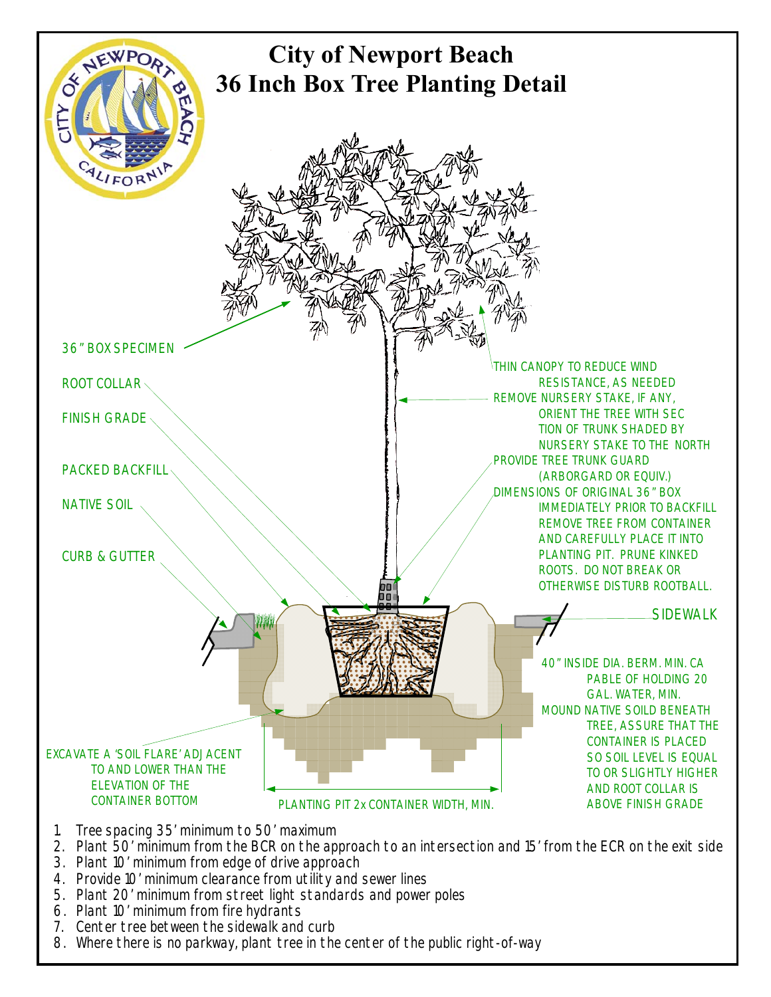

- 2. Plant 50' minimum from the BCR on the approach to an intersection and 15' from the ECR on the exit side
- 3. Plant 10' minimum from edge of drive approach
- 4. Provide 10' minimum clearance from utility and sewer lines
- 5. Plant 20' minimum from street light standards and power poles
- 6. Plant 10' minimum from fire hydrants
- 7. Center tree between the sidewalk and curb
- 8. Where there is no parkway, plant tree in the center of the public right-of-way